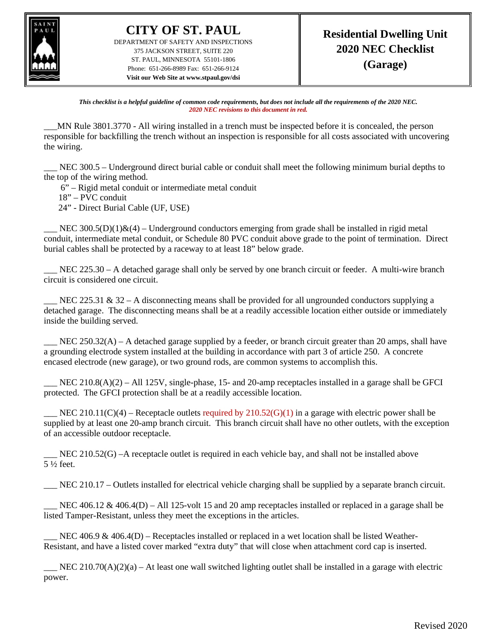

**CITY OF ST. PAUL** DEPARTMENT OF SAFETY AND INSPECTIONS 375 JACKSON STREET, SUITE 220 ST. PAUL, MINNESOTA 55101-1806 Phone: 651-266-8989 Fax: 651-266-9124 **Visit our Web Site at www.stpaul.gov/dsi**

*This checklist is a helpful guideline of common code requirements, but does not include all the requirements of the 2020 NEC. 2020 NEC revisions to this document in red.*

\_\_\_MN Rule 3801.3770 - All wiring installed in a trench must be inspected before it is concealed, the person responsible for backfilling the trench without an inspection is responsible for all costs associated with uncovering the wiring.

NEC 300.5 – Underground direct burial cable or conduit shall meet the following minimum burial depths to the top of the wiring method.

6" – Rigid metal conduit or intermediate metal conduit

18" – PVC conduit

24" - Direct Burial Cable (UF, USE)

NEC 300.5(D)(1) $\&$ (4) – Underground conductors emerging from grade shall be installed in rigid metal conduit, intermediate metal conduit, or Schedule 80 PVC conduit above grade to the point of termination. Direct burial cables shall be protected by a raceway to at least 18" below grade.

NEC 225.30 – A detached garage shall only be served by one branch circuit or feeder. A multi-wire branch circuit is considered one circuit.

NEC 225.31 & 32 – A disconnecting means shall be provided for all ungrounded conductors supplying a detached garage. The disconnecting means shall be at a readily accessible location either outside or immediately inside the building served.

 $NEC 250.32(A) - A$  detached garage supplied by a feeder, or branch circuit greater than 20 amps, shall have a grounding electrode system installed at the building in accordance with part 3 of article 250. A concrete encased electrode (new garage), or two ground rods, are common systems to accomplish this.

NEC  $210.8(A)(2) - All 125V$ , single-phase, 15- and 20-amp receptacles installed in a garage shall be GFCI protected. The GFCI protection shall be at a readily accessible location.

NEC 210.11(C)(4) – Receptacle outlets required by  $210.52(G)(1)$  in a garage with electric power shall be supplied by at least one 20-amp branch circuit. This branch circuit shall have no other outlets, with the exception of an accessible outdoor receptacle.

 $\_$  NEC 210.52(G) –A receptacle outlet is required in each vehicle bay, and shall not be installed above 5 ½ feet.

\_\_\_ NEC 210.17 – Outlets installed for electrical vehicle charging shall be supplied by a separate branch circuit.

NEC 406.12 & 406.4(D) – All 125-volt 15 and 20 amp receptacles installed or replaced in a garage shall be listed Tamper-Resistant, unless they meet the exceptions in the articles.

NEC 406.9 & 406.4(D) – Receptacles installed or replaced in a wet location shall be listed Weather-Resistant, and have a listed cover marked "extra duty" that will close when attachment cord cap is inserted.

NEC 210.70(A)(2)(a) – At least one wall switched lighting outlet shall be installed in a garage with electric power.